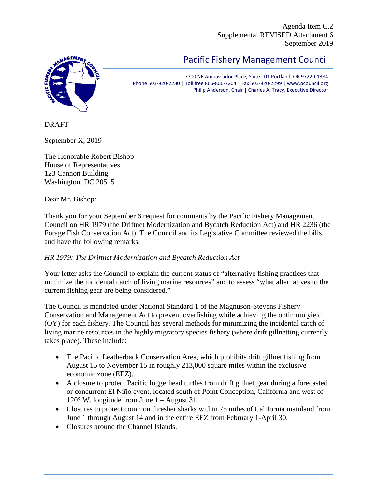Agenda Item C.2 Supplemental REVISED Attachment 6 September 2019

## **AAGEMEN**

## Pacific Fishery Management Council

7700 NE Ambassador Place, Suite 101 Portland, OR 97220-1384 Phone 503-820-2280 | Toll free 866-806-7204 | Fax 503-820-2299 | www.pcouncil.org Philip Anderson, Chair | Charles A. Tracy, Executive Director

DRAFT

September X, 2019

The Honorable Robert Bishop House of Representatives 123 Cannon Building Washington, DC 20515

Dear Mr. Bishop:

Thank you for your September 6 request for comments by the Pacific Fishery Management Council on HR 1979 (the Driftnet Modernization and Bycatch Reduction Act) and HR 2236 (the Forage Fish Conservation Act). The Council and its Legislative Committee reviewed the bills and have the following remarks.

## *HR 1979: The Driftnet Modernization and Bycatch Reduction Act*

Your letter asks the Council to explain the current status of "alternative fishing practices that minimize the incidental catch of living marine resources" and to assess "what alternatives to the current fishing gear are being considered."

The Council is mandated under National Standard 1 of the Magnuson-Stevens Fishery Conservation and Management Act to prevent overfishing while achieving the optimum yield (OY) for each fishery. The Council has several methods for minimizing the incidental catch of living marine resources in the highly migratory species fishery (where drift gillnetting currently takes place). These include:

- The Pacific Leatherback Conservation Area, which prohibits drift gillnet fishing from August 15 to November 15 in roughly 213,000 square miles within the exclusive economic zone (EEZ).
- A closure to protect Pacific loggerhead turtles from drift gillnet gear during a forecasted or concurrent El Niño event, located south of Point Conception, California and west of 120° W. longitude from June 1 – August 31.
- Closures to protect common thresher sharks within 75 miles of California mainland from June 1 through August 14 and in the entire EEZ from February 1-April 30.
- Closures around the Channel Islands.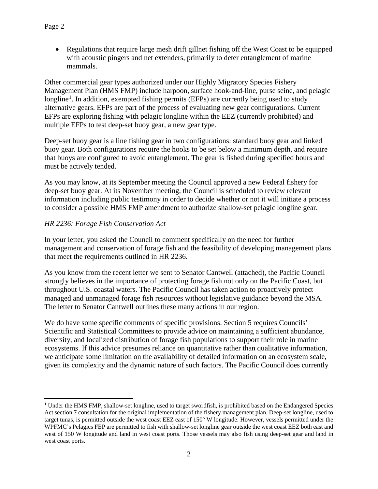• Regulations that require large mesh drift gillnet fishing off the West Coast to be equipped with acoustic pingers and net extenders, primarily to deter entanglement of marine mammals.

Other commercial gear types authorized under our Highly Migratory Species Fishery Management Plan (HMS FMP) include harpoon, surface hook-and-line, purse seine, and pelagic longline<sup>[1](#page-1-0)</sup>. In addition, exempted fishing permits (EFPs) are currently being used to study alternative gears. EFPs are part of the process of evaluating new gear configurations. Current EFPs are exploring fishing with pelagic longline within the EEZ (currently prohibited) and multiple EFPs to test deep-set buoy gear, a new gear type.

Deep-set buoy gear is a line fishing gear in two configurations: standard buoy gear and linked buoy gear. Both configurations require the hooks to be set below a minimum depth, and require that buoys are configured to avoid entanglement. The gear is fished during specified hours and must be actively tended.

As you may know, at its September meeting the Council approved a new Federal fishery for deep-set buoy gear. At its November meeting, the Council is scheduled to review relevant information including public testimony in order to decide whether or not it will initiate a process to consider a possible HMS FMP amendment to authorize shallow-set pelagic longline gear.

## *HR 2236: Forage Fish Conservation Act*

In your letter, you asked the Council to comment specifically on the need for further management and conservation of forage fish and the feasibility of developing management plans that meet the requirements outlined in HR 2236.

As you know from the recent letter we sent to Senator Cantwell (attached), the Pacific Council strongly believes in the importance of protecting forage fish not only on the Pacific Coast, but throughout U.S. coastal waters. The Pacific Council has taken action to proactively protect managed and unmanaged forage fish resources without legislative guidance beyond the MSA. The letter to Senator Cantwell outlines these many actions in our region.

We do have some specific comments of specific provisions. Section 5 requires Councils' Scientific and Statistical Committees to provide advice on maintaining a sufficient abundance, diversity, and localized distribution of forage fish populations to support their role in marine ecosystems. If this advice presumes reliance on quantitative rather than qualitative information, we anticipate some limitation on the availability of detailed information on an ecosystem scale, given its complexity and the dynamic nature of such factors. The Pacific Council does currently

<span id="page-1-0"></span><sup>&</sup>lt;sup>1</sup> Under the HMS FMP, shallow-set longline, used to target swordfish, is prohibited based on the Endangered Species Act section 7 consultation for the original implementation of the fishery management plan. Deep-set longline, used to target tunas, is permitted outside the west coast EEZ east of 150° W longitude. However, vessels permitted under the WPFMC's Pelagics FEP are permitted to fish with shallow-set longline gear outside the west coast EEZ both east and west of 150 W longitude and land in west coast ports. Those vessels may also fish using deep-set gear and land in west coast ports.